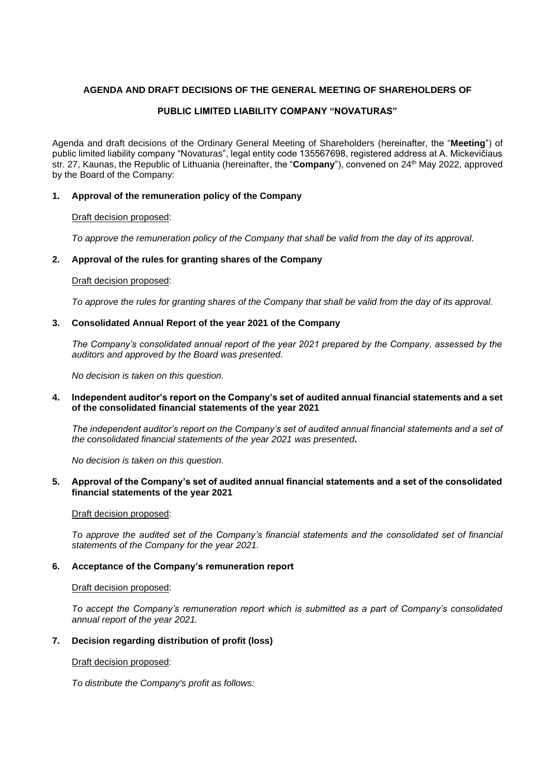# **AGENDA AND DRAFT DECISIONS OF THE GENERAL MEETING OF SHAREHOLDERS OF**

# **PUBLIC LIMITED LIABILITY COMPANY "NOVATURAS"**

Agenda and draft decisions of the Ordinary General Meeting of Shareholders (hereinafter, the "**Meeting**") of public limited liability company "Novaturas", legal entity code 135567698, registered address at A. Mickevičiaus str. 27, Kaunas, the Republic of Lithuania (hereinafter, the "**Company**"), convened on 24th May 2022, approved by the Board of the Company:

# **1. Approval of the remuneration policy of the Company**

## Draft decision proposed:

*To approve the remuneration policy of the Company that shall be valid from the day of its approval.*

# **2. Approval of the rules for granting shares of the Company**

## Draft decision proposed:

*To approve the rules for granting shares of the Company that shall be valid from the day of its approval.*

## **3. Consolidated Annual Report of the year 2021 of the Company**

*The Company's consolidated annual report of the year 2021 prepared by the Company, assessed by the auditors and approved by the Board was presented.* 

*No decision is taken on this question.* 

## **4. Independent auditor's report on the Company's set of audited annual financial statements and a set of the consolidated financial statements of the year 2021**

*The independent auditor's report on the Company's set of audited annual financial statements and a set of the consolidated financial statements of the year 2021 was presented***.** 

*No decision is taken on this question.* 

## **5. Approval of the Company's set of audited annual financial statements and a set of the consolidated financial statements of the year 2021**

#### Draft decision proposed:

*To approve the audited set of the Company's financial statements and the consolidated set of financial statements of the Company for the year 2021.* 

#### **6. Acceptance of the Company's remuneration report**

#### Draft decision proposed:

*To accept the Company's remuneration report which is submitted as a part of Company's consolidated annual report of the year 2021.* 

# **7. Decision regarding distribution of profit (loss)**

#### Draft decision proposed:

*To distribute the Company's profit as follows:*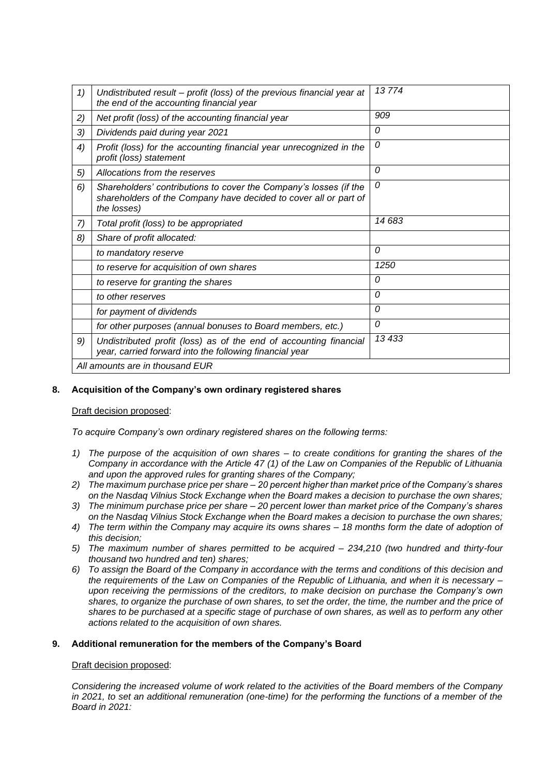| 1)                              | Undistributed result – profit (loss) of the previous financial year at<br>the end of the accounting financial year                                   | 13774         |
|---------------------------------|------------------------------------------------------------------------------------------------------------------------------------------------------|---------------|
| 2)                              | Net profit (loss) of the accounting financial year                                                                                                   | 909           |
| 3)                              | Dividends paid during year 2021                                                                                                                      | 0             |
| 4)                              | Profit (loss) for the accounting financial year unrecognized in the<br>profit (loss) statement                                                       | 0             |
| 5)                              | Allocations from the reserves                                                                                                                        | 0             |
| 6)                              | Shareholders' contributions to cover the Company's losses (if the<br>shareholders of the Company have decided to cover all or part of<br>the losses) | 0             |
| 7)                              | Total profit (loss) to be appropriated                                                                                                               | 14 683        |
| 8)                              | Share of profit allocated:                                                                                                                           |               |
|                                 | to mandatory reserve                                                                                                                                 | $\mathcal{O}$ |
|                                 | to reserve for acquisition of own shares                                                                                                             | 1250          |
|                                 | to reserve for granting the shares                                                                                                                   | 0             |
|                                 | to other reserves                                                                                                                                    | 0             |
|                                 | for payment of dividends                                                                                                                             | 0             |
|                                 | for other purposes (annual bonuses to Board members, etc.)                                                                                           | 0             |
| 9)                              | Undistributed profit (loss) as of the end of accounting financial<br>year, carried forward into the following financial year                         | 13 433        |
| All amounts are in thousand EUR |                                                                                                                                                      |               |

# **8. Acquisition of the Company's own ordinary registered shares**

#### Draft decision proposed:

*To acquire Company's own ordinary registered shares on the following terms:* 

- *1) The purpose of the acquisition of own shares – to create conditions for granting the shares of the Company in accordance with the Article 47 (1) of the Law on Companies of the Republic of Lithuania and upon the approved rules for granting shares of the Company;*
- *2) The maximum purchase price per share – 20 percent higher than market price of the Company's shares on the Nasdaq Vilnius Stock Exchange when the Board makes a decision to purchase the own shares;*
- *3) The minimum purchase price per share – 20 percent lower than market price of the Company's shares on the Nasdaq Vilnius Stock Exchange when the Board makes a decision to purchase the own shares;*
- *4) The term within the Company may acquire its owns shares – 18 months form the date of adoption of this decision;*
- *5) The maximum number of shares permitted to be acquired – 234,210 (two hundred and thirty-four thousand two hundred and ten) shares;*
- *6) To assign the Board of the Company in accordance with the terms and conditions of this decision and the requirements of the Law on Companies of the Republic of Lithuania, and when it is necessary – upon receiving the permissions of the creditors, to make decision on purchase the Company's own shares, to organize the purchase of own shares, to set the order, the time, the number and the price of shares to be purchased at a specific stage of purchase of own shares, as well as to perform any other actions related to the acquisition of own shares.*

#### **9. Additional remuneration for the members of the Company's Board**

### Draft decision proposed:

*Considering the increased volume of work related to the activities of the Board members of the Company in 2021, to set an additional remuneration (one-time) for the performing the functions of a member of the Board in 2021:*